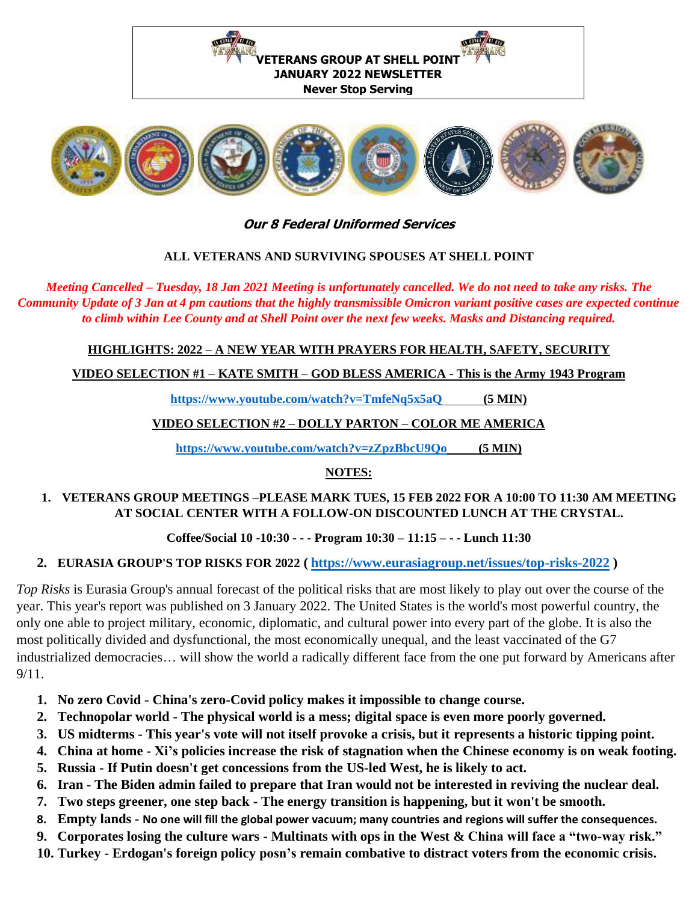



## **Our 8 Federal Uniformed Services**

#### **ALL VETERANS AND SURVIVING SPOUSES AT SHELL POINT**

*Meeting Cancelled – Tuesday, 18 Jan 2021 Meeting is unfortunately cancelled. We do not need to take any risks. The Community Update of 3 Jan at 4 pm cautions that the highly transmissible Omicron variant positive cases are expected continue to climb within Lee County and at Shell Point over the next few weeks. Masks and Distancing required.*

**HIGHLIGHTS: 2022 – A NEW YEAR WITH PRAYERS FOR HEALTH, SAFETY, SECURITY**

**VIDEO SELECTION #1 – KATE SMITH – GOD BLESS AMERICA - This is the Army 1943 Program**

**<https://www.youtube.com/watch?v=TmfeNq5x5aQ> (5 MIN)** 

## **VIDEO SELECTION #2 – DOLLY PARTON – COLOR ME AMERICA**

**<https://www.youtube.com/watch?v=zZpzBbcU9Qo>(5 MIN)** 

## **NOTES:**

#### **1. VETERANS GROUP MEETINGS –PLEASE MARK TUES, 15 FEB 2022 FOR A 10:00 TO 11:30 AM MEETING AT SOCIAL CENTER WITH A FOLLOW-ON DISCOUNTED LUNCH AT THE CRYSTAL.**

## **Coffee/Social 10 -10:30 - - - Program 10:30 – 11:15 – - - Lunch 11:30**

## **2. EURASIA GROUP'S TOP RISKS FOR 2022 ( <https://www.eurasiagroup.net/issues/top-risks-2022> )**

*Top Risks* is Eurasia Group's annual forecast of the political risks that are most likely to play out over the course of the year. This year's report was published on 3 January 2022. The United States is the world's most powerful country, the only one able to project military, economic, diplomatic, and cultural power into every part of the globe. It is also the most politically divided and dysfunctional, the most economically unequal, and the least vaccinated of the G7 industrialized democracies… will show the world a radically different face from the one put forward by Americans after  $9/11$ .

- **1. No zero Covid - China's zero-Covid policy makes it impossible to change course.**
- **2. Technopolar world - The physical world is a mess; digital space is even more poorly governed.**
- **3. US midterms - This year's vote will not itself provoke a crisis, but it represents a historic tipping point.**
- **4. China at home - Xi's policies increase the risk of stagnation when the Chinese economy is on weak footing.**
- **5. Russia - If Putin doesn't get concessions from the US-led West, he is likely to act.**
- **6. Iran - The Biden admin failed to prepare that Iran would not be interested in reviving the nuclear deal.**
- **7. Two steps greener, one step back - The energy transition is happening, but it won't be smooth.**
- **8. Empty lands - No one will fill the global power vacuum; many countries and regions will suffer the consequences.**
- **9. Corporates losing the culture wars - Multinats with ops in the West & China will face a "two-way risk."**
- **10. Turkey - Erdogan's foreign policy posn's remain combative to distract voters from the economic crisis.**